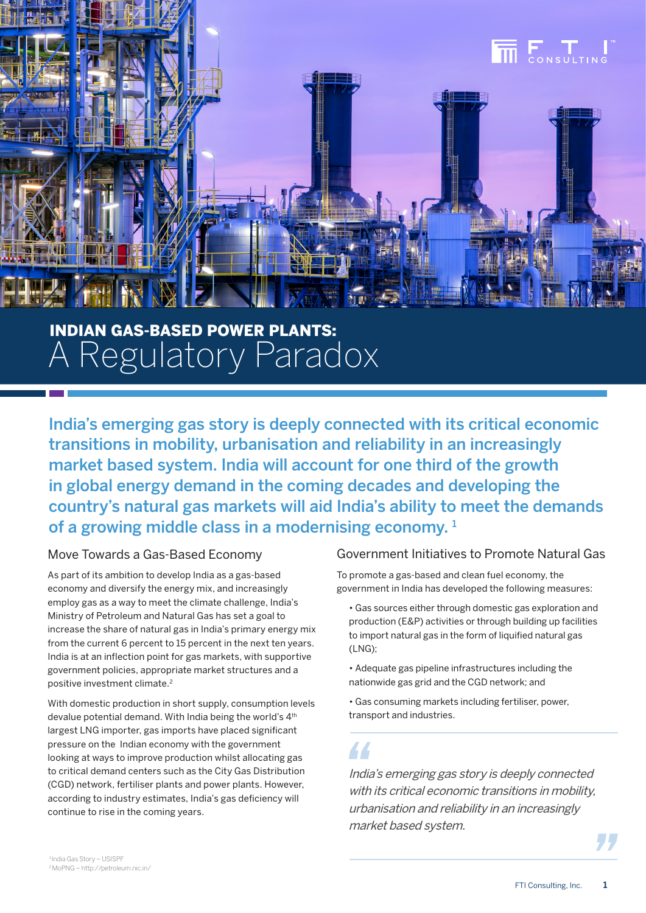

# INDIAN GAS-BASED POWER PLANTS: A Regulatory Paradox

India's emerging gas story is deeply connected with its critical economic transitions in mobility, urbanisation and reliability in an increasingly market based system. India will account for one third of the growth in global energy demand in the coming decades and developing the country's natural gas markets will aid India's ability to meet the demands of a growing middle class in a modernising economy.  $1$ 

## Move Towards a Gas-Based Economy

As part of its ambition to develop India as a gas-based economy and diversify the energy mix, and increasingly employ gas as a way to meet the climate challenge, India's Ministry of Petroleum and Natural Gas has set a goal to increase the share of natural gas in India's primary energy mix from the current 6 percent to 15 percent in the next ten years. India is at an inflection point for gas markets, with supportive government policies, appropriate market structures and a positive investment climate.2

With domestic production in short supply, consumption levels devalue potential demand. With India being the world's 4<sup>th</sup> largest LNG importer, gas imports have placed significant pressure on the Indian economy with the government looking at ways to improve production whilst allocating gas to critical demand centers such as the City Gas Distribution (CGD) network, fertiliser plants and power plants. However, according to industry estimates, India's gas deficiency will continue to rise in the coming years.

## Government Initiatives to Promote Natural Gas

To promote a gas-based and clean fuel economy, the government in India has developed the following measures:

• Gas sources either through domestic gas exploration and production (E&P) activities or through building up facilities to import natural gas in the form of liquified natural gas (LNG);

• Adequate gas pipeline infrastructures including the nationwide gas grid and the CGD network; and

• Gas consuming markets including fertiliser, power, transport and industries.

44

India's emerging gas story is deeply connected with its critical economic transitions in mobility. urbanisation and reliability in an increasingly market based system.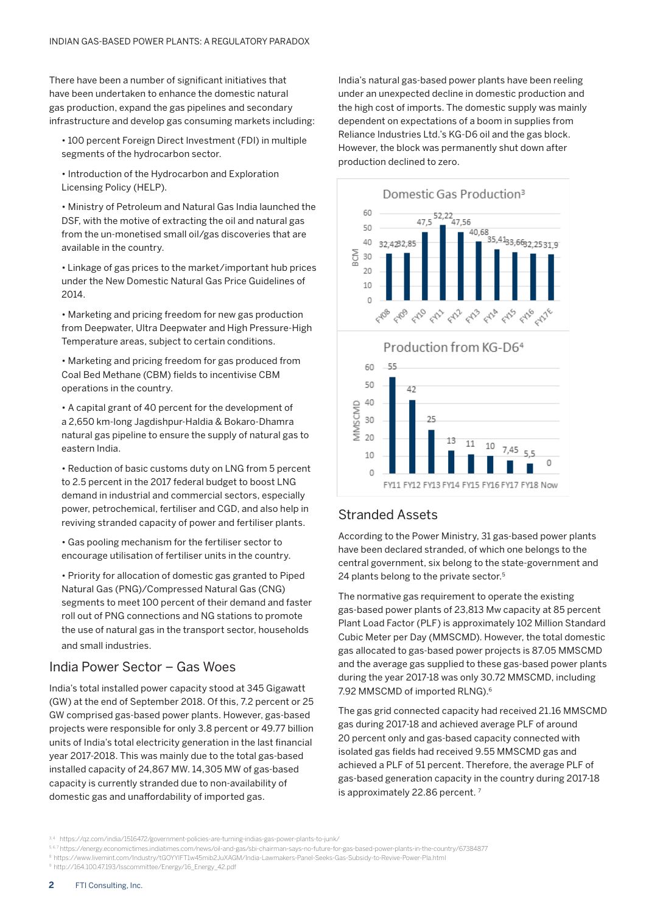There have been a number of significant initiatives that have been undertaken to enhance the domestic natural gas production, expand the gas pipelines and secondary infrastructure and develop gas consuming markets including:

• 100 percent Foreign Direct Investment (FDI) in multiple segments of the hydrocarbon sector.

• Introduction of the Hydrocarbon and Exploration Licensing Policy (HELP).

• Ministry of Petroleum and Natural Gas India launched the DSF, with the motive of extracting the oil and natural gas from the un-monetised small oil/gas discoveries that are available in the country.

• Linkage of gas prices to the market/important hub prices under the New Domestic Natural Gas Price Guidelines of 2014.

• Marketing and pricing freedom for new gas production from Deepwater, Ultra Deepwater and High Pressure-High Temperature areas, subject to certain conditions.

• Marketing and pricing freedom for gas produced from Coal Bed Methane (CBM) fields to incentivise CBM operations in the country.

• A capital grant of 40 percent for the development of a 2,650 km-long Jagdishpur-Haldia & Bokaro-Dhamra natural gas pipeline to ensure the supply of natural gas to eastern India.

• Reduction of basic customs duty on LNG from 5 percent to 2.5 percent in the 2017 federal budget to boost LNG demand in industrial and commercial sectors, especially power, petrochemical, fertiliser and CGD, and also help in reviving stranded capacity of power and fertiliser plants.

• Gas pooling mechanism for the fertiliser sector to encourage utilisation of fertiliser units in the country.

• Priority for allocation of domestic gas granted to Piped Natural Gas (PNG)/Compressed Natural Gas (CNG) segments to meet 100 percent of their demand and faster roll out of PNG connections and NG stations to promote the use of natural gas in the transport sector, households and small industries.

### India Power Sector – Gas Woes

India's total installed power capacity stood at 345 Gigawatt (GW) at the end of September 2018. Of this, 7.2 percent or 25 GW comprised gas-based power plants. However, gas-based projects were responsible for only 3.8 percent or 49.77 billion units of India's total electricity generation in the last financial year 2017-2018. This was mainly due to the total gas-based installed capacity of 24,867 MW. 14,305 MW of gas-based capacity is currently stranded due to non-availability of domestic gas and unaffordability of imported gas.

India's natural gas-based power plants have been reeling under an unexpected decline in domestic production and the high cost of imports. The domestic supply was mainly dependent on expectations of a boom in supplies from Reliance Industries Ltd.'s KG-D6 oil and the gas block. However, the block was permanently shut down after production declined to zero.





### Stranded Assets

According to the Power Ministry, 31 gas-based power plants have been declared stranded, of which one belongs to the central government, six belong to the state-government and 24 plants belong to the private sector.<sup>5</sup>

The normative gas requirement to operate the existing gas-based power plants of 23,813 Mw capacity at 85 percent Plant Load Factor (PLF) is approximately 102 Million Standard Cubic Meter per Day (MMSCMD). However, the total domestic gas allocated to gas-based power projects is 87.05 MMSCMD and the average gas supplied to these gas-based power plants during the year 2017-18 was only 30.72 MMSCMD, including 7.92 MMSCMD of imported RLNG).6

The gas grid connected capacity had received 21.16 MMSCMD gas during 2017-18 and achieved average PLF of around 20 percent only and gas-based capacity connected with isolated gas fields had received 9.55 MMSCMD gas and achieved a PLF of 51 percent. Therefore, the average PLF of gas-based generation capacity in the country during 2017-18 is approximately 22.86 percent.<sup>7</sup>

9 http://164.100.47.193/lsscommittee/Energy/16\_Energy\_42.pdf

<sup>3,4</sup> https://qz.com/india/1516472/government-policies-are-turning-indias-gas-power-plants-to-junk/

<sup>5, 6, 7</sup> https://energy.economictimes.indiatimes.com/news/oil-and-gas/sbi-chairman-says-no-future-for-gas-based-power-plants-in-the-country/67384877

<sup>8</sup> https://www.livemint.com/Industry/tGOYYIFT1w45mib2JuXAGM/India-Lawmakers-Panel-Seeks-Gas-Subsidy-to-Revive-Power-Pla.html